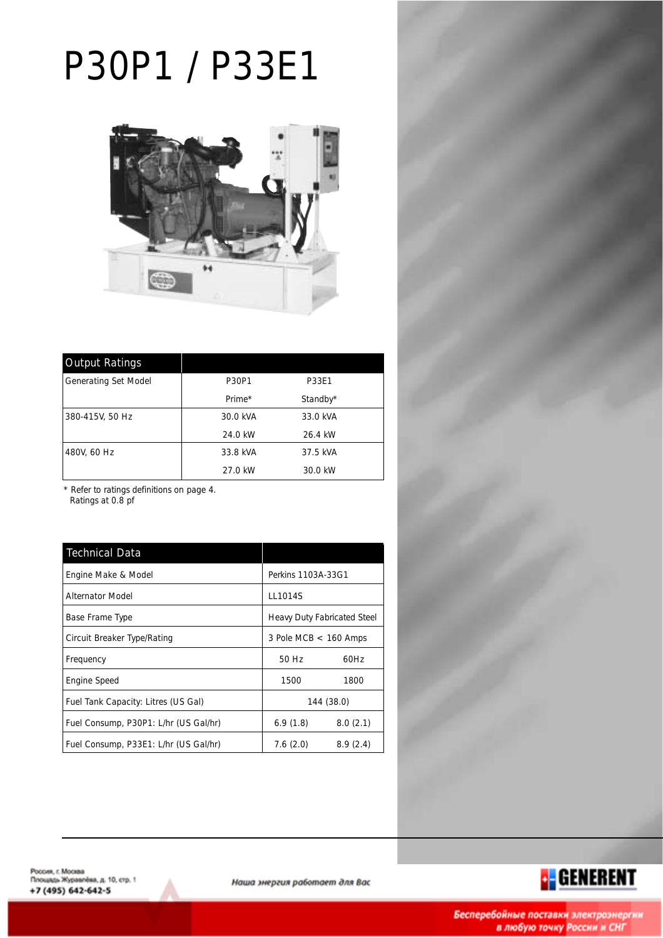# P30P1 / P33E1



| <b>Output Ratings</b>       |          |              |  |
|-----------------------------|----------|--------------|--|
| <b>Generating Set Model</b> | P30P1    | <b>P33E1</b> |  |
|                             | Prime*   | Standby*     |  |
| 380-415V, 50 Hz             | 30.0 kVA | 33.0 kVA     |  |
|                             | 24.0 kW  | 26.4 kW      |  |
| 480V, 60 Hz                 | 33.8 kVA | 37.5 kVA     |  |
|                             | 27.0 kW  | 30.0 kW      |  |

\* Refer to ratings definitions on page 4. Ratings at 0.8 pf

| <b>Technical Data</b>                 |                             |          |  |  |
|---------------------------------------|-----------------------------|----------|--|--|
| Engine Make & Model                   | Perkins 1103A-33G1          |          |  |  |
| <b>Alternator Model</b>               | LL1014S                     |          |  |  |
| Base Frame Type                       | Heavy Duty Fabricated Steel |          |  |  |
| Circuit Breaker Type/Rating           | 3 Pole MCB $<$ 160 Amps     |          |  |  |
| Frequency                             | 50 Hz                       | 60Hz     |  |  |
| <b>Engine Speed</b>                   | 1500                        | 1800     |  |  |
| Fuel Tank Capacity: Litres (US Gal)   | 144 (38.0)                  |          |  |  |
| Fuel Consump, P30P1: L/hr (US Gal/hr) | 6.9(1.8)                    | 8.0(2.1) |  |  |
| Fuel Consump, P33E1: L/hr (US Gal/hr) | 7.6(2.0)                    | 8.9(2.4) |  |  |





Наша энергия работает для Вас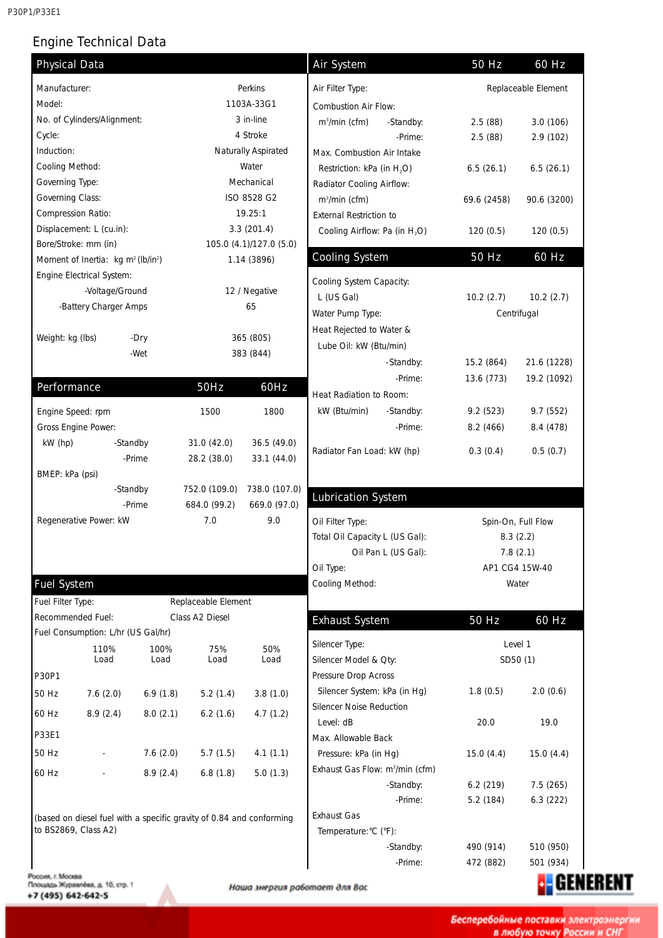P30P1/P33E1

# Engine Technical Data

| Manufacturer:                                              | <b>Physical Data</b>     |                                                                      |                         | <b>Air System</b>                           | 50 Hz                  | 60 Hz                  |
|------------------------------------------------------------|--------------------------|----------------------------------------------------------------------|-------------------------|---------------------------------------------|------------------------|------------------------|
|                                                            |                          |                                                                      | Perkins                 | Air Filter Type:                            |                        | Replaceable Element    |
| Model:                                                     |                          |                                                                      | 1103A-33G1              | Combustion Air Flow:                        |                        |                        |
| No. of Cylinders/Alignment:                                |                          |                                                                      | 3 in-line               | $m3/min$ (cfm)<br>-Standby:                 | 2.5(88)                | 3.0(106)               |
| Cycle:                                                     |                          |                                                                      | 4 Stroke                | -Prime:                                     | 2.5(88)                | 2.9 (102)              |
| Induction:                                                 |                          |                                                                      | Naturally Aspirated     | Max. Combustion Air Intake                  |                        |                        |
| Cooling Method:                                            |                          |                                                                      | Water                   | Restriction: kPa (in H <sub>2</sub> O)      | 6.5(26.1)              | 6.5(26.1)              |
| Governing Type:                                            |                          |                                                                      | Mechanical              | Radiator Cooling Airflow:                   |                        |                        |
| Governing Class:                                           |                          |                                                                      | ISO 8528 G2             | m <sup>3</sup> /min (cfm)                   | 69.6 (2458)            | 90.6 (3200)            |
| Compression Ratio:                                         |                          |                                                                      | 19.25:1                 | <b>External Restriction to</b>              |                        |                        |
| Displacement: L (cu.in):                                   |                          |                                                                      | 3.3(201.4)              | Cooling Airflow: Pa (in H <sub>2</sub> O)   | 120(0.5)               | 120(0.5)               |
| Bore/Stroke: mm (in)                                       |                          |                                                                      | 105.0 (4.1)/127.0 (5.0) |                                             |                        |                        |
| Moment of Inertia: kg m <sup>2</sup> (lb/in <sup>2</sup> ) |                          |                                                                      | 1.14 (3896)             | <b>Cooling System</b>                       | 50 Hz                  | 60 Hz                  |
| Engine Electrical System:                                  |                          |                                                                      |                         | Cooling System Capacity:                    |                        |                        |
|                                                            | -Voltage/Ground          |                                                                      | 12 / Negative           | L (US Gal)                                  | 10.2(2.7)              | 10.2(2.7)              |
|                                                            | -Battery Charger Amps    |                                                                      | 65                      | Water Pump Type:                            |                        | Centrifugal            |
|                                                            |                          |                                                                      |                         | Heat Rejected to Water &                    |                        |                        |
| Weight: kg (lbs)                                           | -Dry                     |                                                                      | 365 (805)               | Lube Oil: kW (Btu/min)                      |                        |                        |
|                                                            | -Wet                     |                                                                      | 383 (844)               | -Standby:                                   | 15.2 (864)             | 21.6 (1228)            |
|                                                            |                          |                                                                      |                         | -Prime:                                     | 13.6 (773)             | 19.2 (1092)            |
| Performance                                                |                          | <b>50Hz</b>                                                          | 60Hz                    | Heat Radiation to Room:                     |                        |                        |
|                                                            |                          |                                                                      | 1800                    | kW (Btu/min)                                | 9.2(523)               | 9.7 (552)              |
| Engine Speed: rpm                                          |                          | 1500                                                                 |                         | -Standby:                                   |                        |                        |
| Gross Engine Power:<br>kW (hp)                             | -Standby                 | 31.0 (42.0)                                                          | 36.5 (49.0)             | -Prime:                                     | 8.2(466)               | 8.4 (478)              |
|                                                            | -Prime                   | 28.2 (38.0)                                                          | 33.1 (44.0)             | Radiator Fan Load: kW (hp)                  | 0.3(0.4)               | 0.5(0.7)               |
| BMEP: kPa (psi)                                            |                          |                                                                      |                         |                                             |                        |                        |
|                                                            | -Standby                 | 752.0 (109.0)                                                        | 738.0 (107.0)           |                                             |                        |                        |
|                                                            | -Prime                   | 684.0 (99.2)                                                         | 669.0 (97.0)            | <b>Lubrication System</b>                   |                        |                        |
| Regenerative Power: kW                                     |                          | 7.0                                                                  | 9.0                     | Oil Filter Type:                            |                        | Spin-On, Full Flow     |
|                                                            |                          |                                                                      |                         | Total Oil Capacity L (US Gal):              |                        | 8.3(2.2)               |
|                                                            |                          |                                                                      |                         | Oil Pan L (US Gal):                         |                        | 7.8(2.1)               |
|                                                            |                          |                                                                      |                         | Oil Type:                                   | AP1 CG4 15W-40         |                        |
| <b>Fuel System</b>                                         |                          |                                                                      |                         | Cooling Method:                             |                        | Water                  |
|                                                            |                          | Replaceable Element                                                  |                         |                                             |                        |                        |
|                                                            |                          |                                                                      |                         |                                             |                        |                        |
| Fuel Filter Type:                                          |                          |                                                                      |                         |                                             |                        |                        |
| Recommended Fuel:                                          |                          | Class A2 Diesel                                                      |                         | <b>Exhaust System</b>                       | 50 Hz                  | 60 Hz                  |
| Fuel Consumption: L/hr (US Gal/hr)                         |                          |                                                                      |                         | Silencer Type:                              |                        | Level 1                |
|                                                            | 110%<br>Load             | 100%<br>75%<br>Load<br>Load                                          | 50%<br>Load             | Silencer Model & Oty:                       |                        | SD50 (1)               |
| P30P1                                                      |                          |                                                                      |                         | Pressure Drop Across                        |                        |                        |
| 50 Hz                                                      | 7.6(2.0)                 | 6.9(1.8)<br>5.2(1.4)                                                 | 3.8(1.0)                | Silencer System: kPa (in Hg)                | 1.8(0.5)               | 2.0(0.6)               |
|                                                            |                          |                                                                      |                         | <b>Silencer Noise Reduction</b>             |                        |                        |
| 60 Hz                                                      | 8.9(2.4)                 | 8.0(2.1)<br>6.2(1.6)                                                 | 4.7(1.2)                | Level: dB                                   | 20.0                   | 19.0                   |
| P33E1                                                      |                          |                                                                      |                         | Max. Allowable Back                         |                        |                        |
| 50 Hz                                                      |                          | 7.6(2.0)<br>5.7(1.5)                                                 | 4.1(1.1)                | Pressure: kPa (in Hg)                       | 15.0(4.4)              | 15.0(4.4)              |
| 60 Hz                                                      | $\overline{\phantom{a}}$ | 8.9(2.4)<br>6.8(1.8)                                                 | 5.0(1.3)                | Exhaust Gas Flow: m <sup>3</sup> /min (cfm) |                        |                        |
|                                                            |                          |                                                                      |                         | -Standby:                                   | 6.2(219)               | 7.5(265)               |
|                                                            |                          |                                                                      |                         | -Prime:                                     | 5.2 (184)              | 6.3(222)               |
|                                                            |                          | (based on diesel fuel with a specific gravity of 0.84 and conforming |                         | <b>Exhaust Gas</b>                          |                        |                        |
| to BS2869, Class A2)                                       |                          |                                                                      |                         | Temperature: °C (°F):                       |                        |                        |
|                                                            |                          |                                                                      |                         | -Standby:<br>-Prime:                        | 490 (914)<br>472 (882) | 510 (950)<br>501 (934) |

+7 (495) 642-642-5

Α

Бесперебойные поставки электроэнергии<br>в любую точку России и СНГ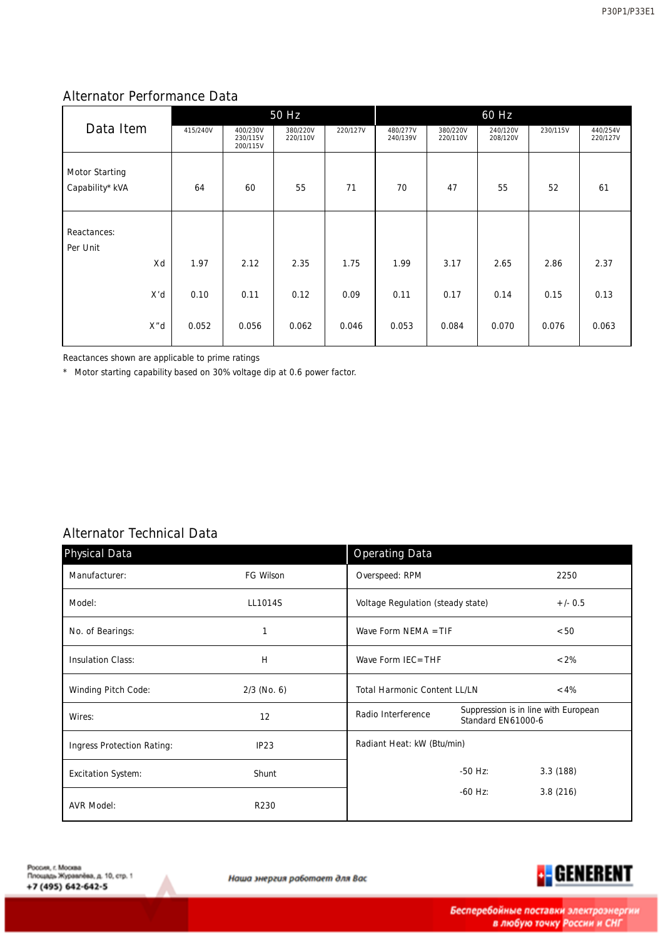### Alternator Performance Data

|                       | 50 Hz    |                                  |                      |          | 60 Hz                |                      |                      |          |                      |
|-----------------------|----------|----------------------------------|----------------------|----------|----------------------|----------------------|----------------------|----------|----------------------|
| Data Item             | 415/240V | 400/230V<br>230/115V<br>200/115V | 380/220V<br>220/110V | 220/127V | 480/277V<br>240/139V | 380/220V<br>220/110V | 240/120V<br>208/120V | 230/115V | 440/254V<br>220/127V |
| <b>Motor Starting</b> |          |                                  |                      |          |                      |                      |                      |          |                      |
| Capability* kVA       | 64       | 60                               | 55                   | 71       | 70                   | 47                   | 55                   | 52       | 61                   |
| Reactances:           |          |                                  |                      |          |                      |                      |                      |          |                      |
| Per Unit              |          |                                  |                      |          |                      |                      |                      |          |                      |
| Xd                    | 1.97     | 2.12                             | 2.35                 | 1.75     | 1.99                 | 3.17                 | 2.65                 | 2.86     | 2.37                 |
| X'd                   | 0.10     | 0.11                             | 0.12                 | 0.09     | 0.11                 | 0.17                 | 0.14                 | 0.15     | 0.13                 |
| X"d                   | 0.052    | 0.056                            | 0.062                | 0.046    | 0.053                | 0.084                | 0.070                | 0.076    | 0.063                |

Reactances shown are applicable to prime ratings

\* Motor starting capability based on 30% voltage dip at 0.6 power factor.

# Alternator Technical Data

| <b>Physical Data</b>              |               | <b>Operating Data</b>               |                    |                                      |
|-----------------------------------|---------------|-------------------------------------|--------------------|--------------------------------------|
| Manufacturer:                     | FG Wilson     | Overspeed: RPM                      |                    | 2250                                 |
| Model:                            | LL1014S       | Voltage Regulation (steady state)   |                    | $+/- 0.5$                            |
| No. of Bearings:                  |               | Wave Form NEMA $=$ TIF              |                    | < 50                                 |
| <b>Insulation Class:</b>          | H             | Wave Form IEC=THF                   |                    | $< 2\%$                              |
| <b>Winding Pitch Code:</b>        | $2/3$ (No. 6) | <b>Total Harmonic Content LL/LN</b> |                    | $< 4\%$                              |
| Wires:                            | 12            | <b>Radio Interference</b>           | Standard EN61000-6 | Suppression is in line with European |
| <b>Ingress Protection Rating:</b> | IP23          | Radiant Heat: kW (Btu/min)          |                    |                                      |
| <b>Excitation System:</b>         | Shunt         |                                     | $-50$ Hz:          | 3.3(188)                             |
| <b>AVR Model:</b>                 | R230          |                                     | $-60$ Hz:          | 3.8(216)                             |

Наша энергия работает для Вас